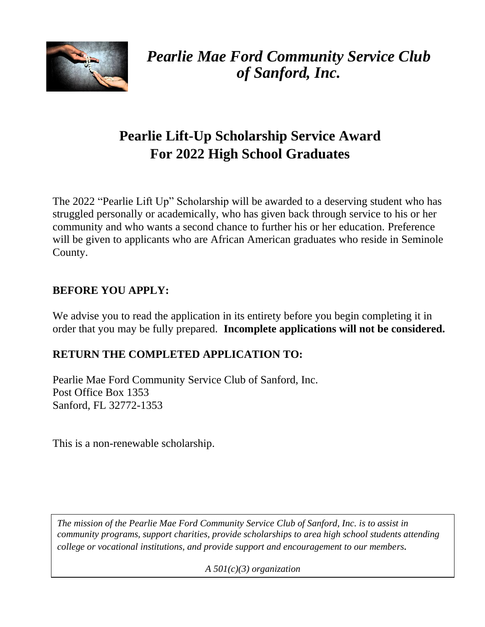

*Pearlie Mae Ford Community Service Club of Sanford, Inc.*

# **Pearlie Lift-Up Scholarship Service Award For 2022 High School Graduates**

The 2022 "Pearlie Lift Up" Scholarship will be awarded to a deserving student who has struggled personally or academically, who has given back through service to his or her community and who wants a second chance to further his or her education. Preference will be given to applicants who are African American graduates who reside in Seminole County.

# **BEFORE YOU APPLY:**

We advise you to read the application in its entirety before you begin completing it in order that you may be fully prepared. **Incomplete applications will not be considered.**

# **RETURN THE COMPLETED APPLICATION TO:**

Pearlie Mae Ford Community Service Club of Sanford, Inc. Post Office Box 1353 Sanford, FL 32772-1353

This is a non-renewable scholarship.

*.*

*The mission of the Pearlie Mae Ford Community Service Club of Sanford, Inc. is to assist in community programs, support charities, provide scholarships to area high school students attending college or vocational institutions, and provide support and encouragement to our members.*

*A 501(c)(3) organization*